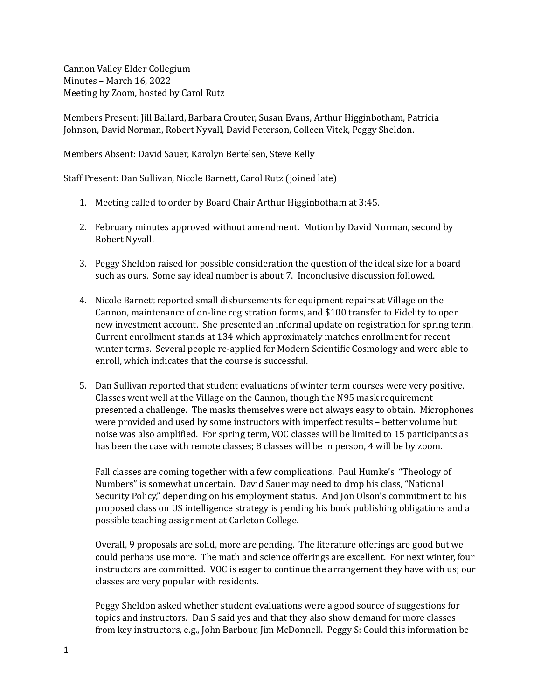Cannon Valley Elder Collegium Minutes - March 16, 2022 Meeting by Zoom, hosted by Carol Rutz

Members Present: [ill Ballard, Barbara Crouter, Susan Evans, Arthur Higginbotham, Patricia Johnson, David Norman, Robert Nyvall, David Peterson, Colleen Vitek, Peggy Sheldon.

Members Absent: David Sauer, Karolyn Bertelsen, Steve Kelly

Staff Present: Dan Sullivan, Nicole Barnett, Carol Rutz (joined late)

- 1. Meeting called to order by Board Chair Arthur Higginbotham at 3:45.
- 2. February minutes approved without amendment. Motion by David Norman, second by Robert Nyvall.
- 3. Peggy Sheldon raised for possible consideration the question of the ideal size for a board such as ours. Some say ideal number is about 7. Inconclusive discussion followed.
- 4. Nicole Barnett reported small disbursements for equipment repairs at Village on the Cannon, maintenance of on-line registration forms, and \$100 transfer to Fidelity to open new investment account. She presented an informal update on registration for spring term. Current enrollment stands at 134 which approximately matches enrollment for recent winter terms. Several people re-applied for Modern Scientific Cosmology and were able to enroll, which indicates that the course is successful.
- 5. Dan Sullivan reported that student evaluations of winter term courses were very positive. Classes went well at the Village on the Cannon, though the N95 mask requirement presented a challenge. The masks themselves were not always easy to obtain. Microphones were provided and used by some instructors with imperfect results - better volume but noise was also amplified. For spring term, VOC classes will be limited to 15 participants as has been the case with remote classes; 8 classes will be in person, 4 will be by zoom.

Fall classes are coming together with a few complications. Paul Humke's "Theology of Numbers" is somewhat uncertain. David Sauer may need to drop his class, "National Security Policy," depending on his employment status. And Jon Olson's commitment to his proposed class on US intelligence strategy is pending his book publishing obligations and a possible teaching assignment at Carleton College.

Overall, 9 proposals are solid, more are pending. The literature offerings are good but we could perhaps use more. The math and science offerings are excellent. For next winter, four instructors are committed. VOC is eager to continue the arrangement they have with us; our classes are very popular with residents.

Peggy Sheldon asked whether student evaluations were a good source of suggestions for topics and instructors. Dan S said yes and that they also show demand for more classes from key instructors, e.g., John Barbour, Jim McDonnell. Peggy S: Could this information be